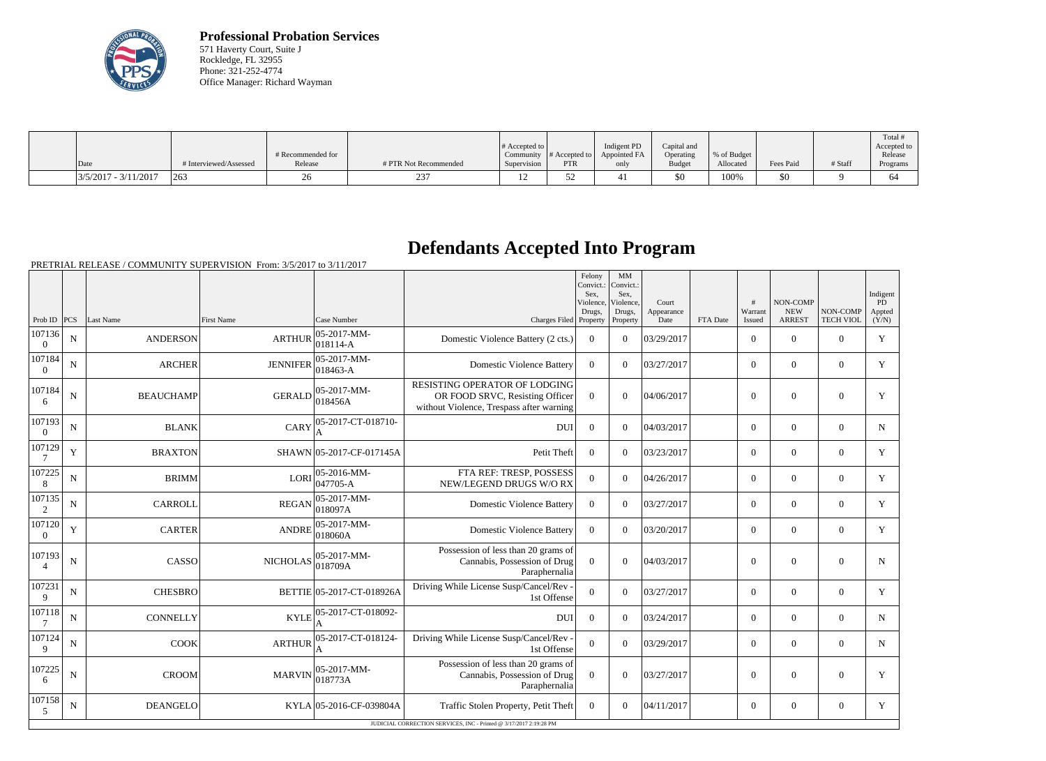

**Professional Probation Services** 571 Haverty Court, Suite J Rockledge, FL 32955 Phone: 321-252-4774 Office Manager: Richard Wayman

| Date                   | # Interviewed/Assessed | # Recommended for<br>Release | # PTR Not Recommended | # Accepted to<br>Supervision | Community $\#$ Accepted to<br>PTR | Indigent PD<br>Appointed FA<br>only | Capital and<br>Operating<br><b>Budget</b> | % of Budget<br>Allocated | Fees Paid | # Staff | Total<br>Accepted to<br>Release<br>Programs |
|------------------------|------------------------|------------------------------|-----------------------|------------------------------|-----------------------------------|-------------------------------------|-------------------------------------------|--------------------------|-----------|---------|---------------------------------------------|
| $3/5/2017 - 3/11/2017$ | 263                    |                              |                       |                              |                                   |                                     | \$0                                       | 100%                     | \$0       |         | O4                                          |

## **Defendants Accepted Into Program**

|                          |                                                                    |                  |                   |                                 |                                                                                                              | Felony<br>Convict.:<br>Sex.<br>Violence,<br>Drugs, | MM<br>Convict.:<br>Sex.<br>Violence,<br>Drugs, | Court<br>Appearance |          | #<br>Warrant   | NON-COMP<br><b>NEW</b> | NON-COMP         | Indigent<br>PD<br>Appted |
|--------------------------|--------------------------------------------------------------------|------------------|-------------------|---------------------------------|--------------------------------------------------------------------------------------------------------------|----------------------------------------------------|------------------------------------------------|---------------------|----------|----------------|------------------------|------------------|--------------------------|
| Prob ID $ PCS $          |                                                                    | Last Name        | <b>First Name</b> | Case Number                     | Charges Filed Property                                                                                       |                                                    | Property                                       | Date                | FTA Date | Issued         | <b>ARREST</b>          | <b>TECH VIOL</b> | (Y/N)                    |
| 107136<br>$\overline{0}$ | N                                                                  | <b>ANDERSON</b>  | <b>ARTHUR</b>     | $ 05 - 2017 - MM -$<br>018114-A | Domestic Violence Battery (2 cts.)                                                                           | $\overline{0}$                                     | $\Omega$                                       | 03/29/2017          |          | $\overline{0}$ | $\theta$               | $\Omega$         | Y                        |
| 107184<br>$\overline{0}$ | N                                                                  | <b>ARCHER</b>    | <b>JENNIFER</b>   | 05-2017-MM-<br>018463-A         | <b>Domestic Violence Battery</b>                                                                             | $\overline{0}$                                     | $\Omega$                                       | 03/27/2017          |          | $\overline{0}$ | $\theta$               | $\overline{0}$   | Y                        |
| 107184<br>6              | ${\bf N}$                                                          | <b>BEAUCHAMP</b> | <b>GERALD</b>     | 05-2017-MM-<br> 018456A         | RESISTING OPERATOR OF LODGING<br>OR FOOD SRVC, Resisting Officer<br>without Violence, Trespass after warning | $\overline{0}$                                     | $\theta$                                       | 04/06/2017          |          | $\mathbf{0}$   | $\overline{0}$         | $\overline{0}$   | Y                        |
| 107193<br>$\theta$       | $\mathbf N$                                                        | <b>BLANK</b>     | CARY              | 05-2017-CT-018710-<br>A         | DUI                                                                                                          | $\Omega$                                           | $\Omega$                                       | 04/03/2017          |          | $\Omega$       | $\theta$               | $\Omega$         | N                        |
| 107129                   | Y                                                                  | <b>BRAXTON</b>   |                   | SHAWN 05-2017-CF-017145A        | Petit Theft                                                                                                  | $\Omega$                                           | $\Omega$                                       | 03/23/2017          |          | $\overline{0}$ | $\boldsymbol{0}$       | $\overline{0}$   | Y                        |
| 107225<br>8              | ${\bf N}$                                                          | <b>BRIMM</b>     | LORI              | $ 05-2016-MM-$<br>047705-A      | FTA REF: TRESP, POSSESS<br>NEW/LEGEND DRUGS W/O RX                                                           | $\overline{0}$                                     | $\Omega$                                       | 04/26/2017          |          | $\overline{0}$ | $\mathbf{0}$           | $\overline{0}$   | $\mathbf Y$              |
| 107135<br>2              | N                                                                  | <b>CARROLL</b>   | <b>REGAN</b>      | 05-2017-MM-<br> 018097A         | <b>Domestic Violence Battery</b>                                                                             | $\Omega$                                           | $\Omega$                                       | 03/27/2017          |          | $\overline{0}$ | $\mathbf{0}$           | $\overline{0}$   | Y                        |
| 107120<br>$\overline{0}$ | Y                                                                  | <b>CARTER</b>    | <b>ANDRE</b>      | $ 05 - 2017 - MM -$<br>018060A  | <b>Domestic Violence Battery</b>                                                                             | $\boldsymbol{0}$                                   | $\Omega$                                       | 03/20/2017          |          | $\overline{0}$ | $\theta$               | $\overline{0}$   | Y                        |
| 107193<br>$\overline{4}$ | ${\bf N}$                                                          | CASSO            | <b>NICHOLAS</b>   | 05-2017-MM-<br>018709A          | Possession of less than 20 grams of<br>Cannabis, Possession of Drug<br>Paraphernalia                         | $\overline{0}$                                     | $\overline{0}$                                 | 04/03/2017          |          | $\mathbf{0}$   | $\boldsymbol{0}$       | $\mathbf{0}$     | N                        |
| 107231<br>9              | $\mathbf N$                                                        | <b>CHESBRO</b>   |                   | BETTIE 05-2017-CT-018926A       | Driving While License Susp/Cancel/Rev -<br>1st Offense                                                       | $\Omega$                                           | $\theta$                                       | 03/27/2017          |          | $\overline{0}$ | $\theta$               | $\Omega$         | Y                        |
| 107118                   | $\mathbf N$                                                        | <b>CONNELLY</b>  | <b>KYLE</b>       | 05-2017-CT-018092-              | <b>DUI</b>                                                                                                   | $\boldsymbol{0}$                                   | $\Omega$                                       | 03/24/2017          |          | $\overline{0}$ | $\theta$               | $\overline{0}$   | N                        |
| 107124<br>9              | ${\bf N}$                                                          | <b>COOK</b>      | <b>ARTHUR</b>     | 05-2017-CT-018124-              | Driving While License Susp/Cancel/Rev -<br>1st Offense                                                       | $\Omega$                                           | $\Omega$                                       | 03/29/2017          |          | $\overline{0}$ | $\boldsymbol{0}$       | $\overline{0}$   | $\mathbf N$              |
| 107225<br>6              | ${\bf N}$                                                          | <b>CROOM</b>     | <b>MARVIN</b>     | $ 05-2017-MM-$<br>018773A       | Possession of less than 20 grams of<br>Cannabis, Possession of Drug<br>Paraphernalia                         | $\theta$                                           | $\theta$                                       | 03/27/2017          |          | $\overline{0}$ | $\mathbf{0}$           | $\overline{0}$   | Y                        |
| 107158<br>5              | N                                                                  | <b>DEANGELO</b>  |                   | KYLA 05-2016-CF-039804A         | Traffic Stolen Property, Petit Theft                                                                         | $\overline{0}$                                     | $\Omega$                                       | 04/11/2017          |          | $\overline{0}$ | $\overline{0}$         | $\overline{0}$   | Y                        |
|                          | JUDICIAL CORRECTION SERVICES, INC - Printed @ 3/17/2017 2:19:28 PM |                  |                   |                                 |                                                                                                              |                                                    |                                                |                     |          |                |                        |                  |                          |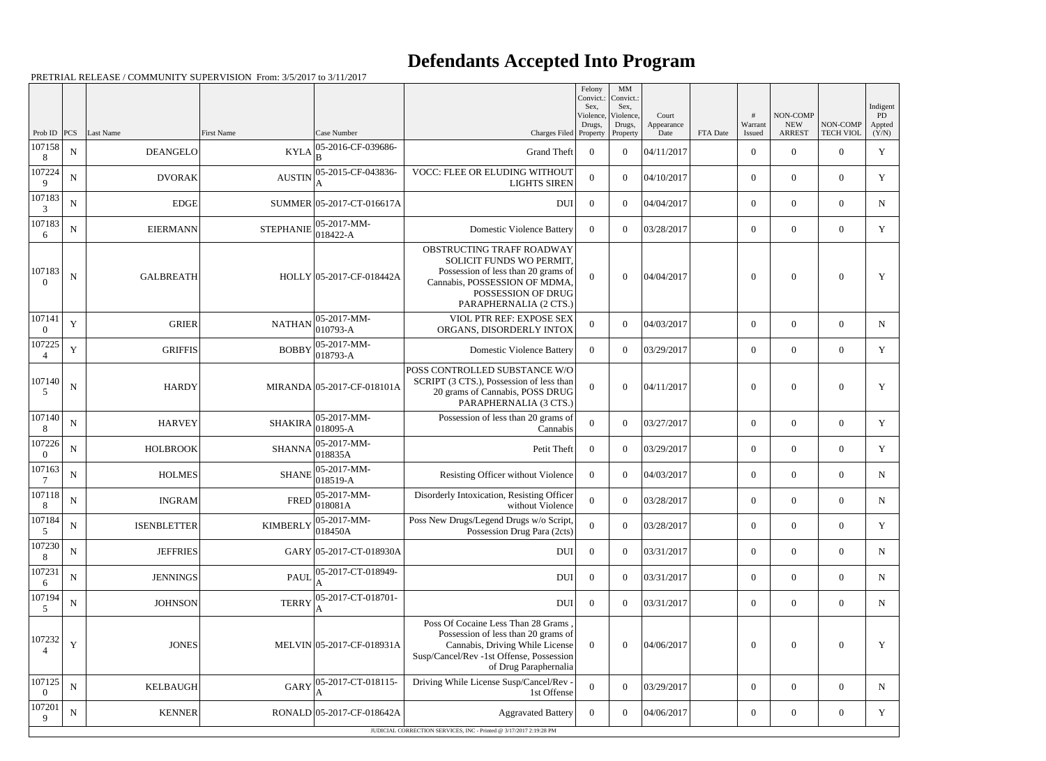## **Defendants Accepted Into Program**

|                          |             |                    |                    |                                 |                                                                                                                                                                                   | Felony<br>Convict.:<br>Sex, | $\mathbf{M}\mathbf{M}$<br>Convict.:<br>Sex, |                             |          |                        |                                         |                              | Indigent              |
|--------------------------|-------------|--------------------|--------------------|---------------------------------|-----------------------------------------------------------------------------------------------------------------------------------------------------------------------------------|-----------------------------|---------------------------------------------|-----------------------------|----------|------------------------|-----------------------------------------|------------------------------|-----------------------|
| Prob ID                  | <b>PCS</b>  | Last Name          | <b>First Name</b>  | Case Number                     | Charges Filed Property                                                                                                                                                            | Violence,<br>Drugs,         | Violence,<br>Drugs,<br>Property             | Court<br>Appearance<br>Date | FTA Date | #<br>Warrant<br>Issued | NON-COMP<br><b>NEW</b><br><b>ARREST</b> | NON-COMP<br><b>TECH VIOL</b> | PD<br>Appted<br>(Y/N) |
| 107158<br>8              | ${\bf N}$   | <b>DEANGELO</b>    | $KYLA _B^{\infty}$ | 05-2016-CF-039686-              | <b>Grand Theft</b>                                                                                                                                                                | $\overline{0}$              | $\theta$                                    | 04/11/2017                  |          | $\boldsymbol{0}$       | $\overline{0}$                          | $\overline{0}$               | $\mathbf Y$           |
| 107224<br>9              | $\mathbf N$ | <b>DVORAK</b>      | <b>AUSTIN</b>      | 05-2015-CF-043836-              | VOCC: FLEE OR ELUDING WITHOUT<br><b>LIGHTS SIREN</b>                                                                                                                              | $\overline{0}$              | $\theta$                                    | 04/10/2017                  |          | $\overline{0}$         | $\overline{0}$                          | $\overline{0}$               | Y                     |
| 107183<br>3              | ${\bf N}$   | <b>EDGE</b>        |                    | SUMMER 05-2017-CT-016617A       | <b>DUI</b>                                                                                                                                                                        | $\overline{0}$              | $\theta$                                    | 04/04/2017                  |          | $\boldsymbol{0}$       | $\overline{0}$                          | $\overline{0}$               | $\mathbf N$           |
| 107183<br>6              | $\mathbf N$ | <b>EIERMANN</b>    | <b>STEPHANIE</b>   | $ 05-2017-MM-$<br>$ 018422 - A$ | <b>Domestic Violence Battery</b>                                                                                                                                                  | $\overline{0}$              | $\theta$                                    | 03/28/2017                  |          | $\overline{0}$         | $\overline{0}$                          | $\overline{0}$               | Y                     |
| 107183<br>$\theta$       | N           | <b>GALBREATH</b>   |                    | HOLLY 05-2017-CF-018442A        | OBSTRUCTING TRAFF ROADWAY<br>SOLICIT FUNDS WO PERMIT,<br>Possession of less than 20 grams of<br>Cannabis, POSSESSION OF MDMA,<br>POSSESSION OF DRUG<br>PARAPHERNALIA (2 CTS.)     | $\mathbf{0}$                | $\Omega$                                    | 04/04/2017                  |          | $\overline{0}$         | $\Omega$                                | $\overline{0}$               | Y                     |
| 107141<br>$\Omega$       | Y           | <b>GRIER</b>       | <b>NATHAN</b>      | $ 05-2017-MM-$<br>$ 010793-A $  | VIOL PTR REF: EXPOSE SEX<br>ORGANS, DISORDERLY INTOX                                                                                                                              | $\theta$                    | $\Omega$                                    | 04/03/2017                  |          | $\overline{0}$         | $\Omega$                                | $\overline{0}$               | N                     |
| 107225                   | Y           | <b>GRIFFIS</b>     | <b>BOBBY</b>       | $ 05-2017-MM-$<br>$ 018793 - A$ | <b>Domestic Violence Battery</b>                                                                                                                                                  | $\theta$                    | $\Omega$                                    | 03/29/2017                  |          | $\overline{0}$         | $\overline{0}$                          | $\overline{0}$               | $\mathbf Y$           |
| 107140<br>5              | $\mathbf N$ | <b>HARDY</b>       |                    | MIRANDA 05-2017-CF-018101A      | POSS CONTROLLED SUBSTANCE W/O<br>SCRIPT (3 CTS.), Possession of less than<br>20 grams of Cannabis, POSS DRUG<br>PARAPHERNALIA (3 CTS.)                                            | $\theta$                    | $\Omega$                                    | 04/11/2017                  |          | $\overline{0}$         | $\theta$                                | $\overline{0}$               | Y                     |
| 107140<br>8              | $\mathbf N$ | <b>HARVEY</b>      | <b>SHAKIRA</b>     | $ 05-2017-MM-$<br>$ 018095-A$   | Possession of less than 20 grams of<br>Cannabis                                                                                                                                   | $\mathbf{0}$                | $\theta$                                    | 03/27/2017                  |          | $\overline{0}$         | $\overline{0}$                          | $\overline{0}$               | Y                     |
| 107226<br>$\Omega$       | ${\bf N}$   | <b>HOLBROOK</b>    | <b>SHANNA</b>      | $ 05-2017-MM-$<br> 018835A      | Petit Theft                                                                                                                                                                       | $\overline{0}$              | $\theta$                                    | 03/29/2017                  |          | $\overline{0}$         | $\overline{0}$                          | $\overline{0}$               | Y                     |
| 107163                   | $\mathbf N$ | <b>HOLMES</b>      | <b>SHANE</b>       | $ 05-2017-MM-$<br>$ 018519-A$   | Resisting Officer without Violence                                                                                                                                                | $\overline{0}$              | $\theta$                                    | 04/03/2017                  |          | $\overline{0}$         | $\overline{0}$                          | $\overline{0}$               | N                     |
| 107118<br>8              | ${\bf N}$   | <b>INGRAM</b>      | <b>FRED</b>        | $ 05-2017-MM-$<br>018081A       | Disorderly Intoxication, Resisting Officer<br>without Violence                                                                                                                    | $\mathbf{0}$                | $\overline{0}$                              | 03/28/2017                  |          | $\boldsymbol{0}$       | $\overline{0}$                          | $\boldsymbol{0}$             | N                     |
| 107184<br>5              | ${\bf N}$   | <b>ISENBLETTER</b> | <b>KIMBERLY</b>    | $ 05-2017-MM-$<br>018450A       | Poss New Drugs/Legend Drugs w/o Script,<br>Possession Drug Para (2cts)                                                                                                            | $\mathbf{0}$                | $\overline{0}$                              | 03/28/2017                  |          | $\overline{0}$         | $\overline{0}$                          | $\overline{0}$               | $\mathbf Y$           |
| 107230<br>8              | ${\bf N}$   | <b>JEFFRIES</b>    |                    | GARY 05-2017-CT-018930A         | <b>DUI</b>                                                                                                                                                                        | $\mathbf{0}$                | $\overline{0}$                              | 03/31/2017                  |          | $\boldsymbol{0}$       | $\overline{0}$                          | $\overline{0}$               | $\mathbf N$           |
| 107231<br>6              | $\mathbf N$ | <b>JENNINGS</b>    | <b>PAUL</b>        | 05-2017-CT-018949-              | <b>DUI</b>                                                                                                                                                                        | $\mathbf{0}$                | $\overline{0}$                              | 03/31/2017                  |          | $\overline{0}$         | $\overline{0}$                          | $\overline{0}$               | N                     |
| 107194<br>5              | ${\bf N}$   | <b>JOHNSON</b>     | <b>TERRY</b>       | 05-2017-CT-018701-<br>A         | DUI                                                                                                                                                                               | $\boldsymbol{0}$            | $\Omega$                                    | 03/31/2017                  |          | $\overline{0}$         | $\overline{0}$                          | $\overline{0}$               | ${\bf N}$             |
| 107232                   | $\mathbf Y$ | <b>JONES</b>       |                    | MELVIN 05-2017-CF-018931A       | Poss Of Cocaine Less Than 28 Grams<br>Possession of less than 20 grams of<br>Cannabis, Driving While License<br>Susp/Cancel/Rev -1st Offense, Possession<br>of Drug Paraphernalia | $\mathbf{0}$                | $\overline{0}$                              | 04/06/2017                  |          | $\mathbf{0}$           | $\mathbf{0}$                            | $\mathbf{0}$                 | Y                     |
| 107125<br>$\overline{0}$ | ${\bf N}$   | <b>KELBAUGH</b>    | <b>GARY</b>        | 05-2017-CT-018115-<br>ΙA        | Driving While License Susp/Cancel/Rev -<br>1st Offense                                                                                                                            | $\mathbf{0}$                | $\overline{0}$                              | 03/29/2017                  |          | $\overline{0}$         | $\boldsymbol{0}$                        | $\overline{0}$               | $\mathbf N$           |
| 107201<br>9              | ${\bf N}$   | <b>KENNER</b>      |                    | RONALD 05-2017-CF-018642A       | <b>Aggravated Battery</b>                                                                                                                                                         | $\overline{0}$              | $\boldsymbol{0}$                            | 04/06/2017                  |          | $\overline{0}$         | $\boldsymbol{0}$                        | $\overline{0}$               | Y                     |
|                          |             |                    |                    |                                 | JUDICIAL CORRECTION SERVICES, INC - Printed @ 3/17/2017 2:19:28 PM                                                                                                                |                             |                                             |                             |          |                        |                                         |                              |                       |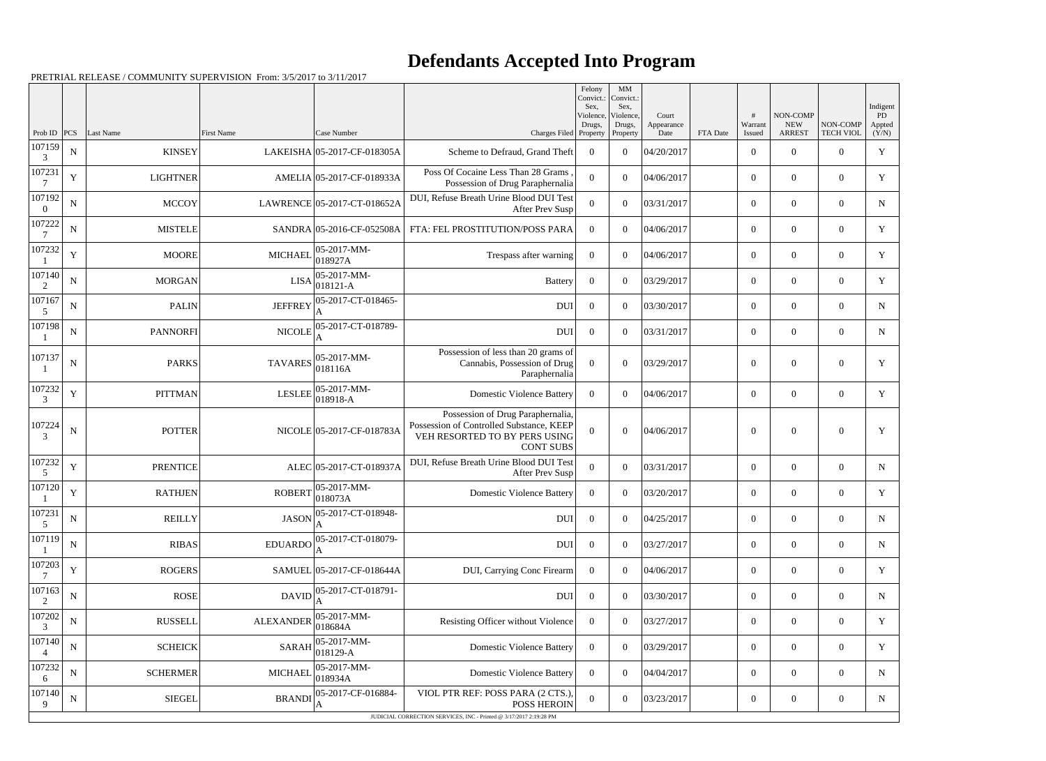## **Defendants Accepted Into Program**

Prob ID | PCS | Last Name | First Name | Case Number | Case Number | Case Number | Charges Filed Felony Convict.: Sex, Violence Drugs, Property MM Convict. Sex, Violence, Drugs, Property Court Appearance FTA Date # Warrant Issued NON-COMP NEW ARREST NON-COMP TECH VIOL Indigent PD Appted  $(Y/N)$ 107159 3  $N$  KINSEY LAKEISHA 05-2017-CF-018305A Scheme to Defraud, Grand Theft 0 0 04/20/2017 0 0 0 0 Y 107231 7  $\begin{array}{ccc}\n \text{Y} & \text{LIGHTNER} \\
\end{array}$ Possession of Drug Paraphernalia <sup>0</sup> <sup>0</sup> 04/06/2017 <sup>0</sup> <sup>0</sup> <sup>0</sup> <sup>Y</sup> 107192 0 N MCCOY LAWRENCE 05-2017-CT-018652A DUI, Refuse Breath Urine Blood DUI Test<br>After Prev Susp After Prev Susp  $\begin{array}{c|c|c|c|c|c|c|c|c} 0 & 0 & 03/31/2017 & 0 & 0 & 0 \end{array}$  N 107222 7 N MISTELE SANDRA 05-2016-CF-052508A FTA: FEL PROSTITUTION/POSS PARA 0 0 04/06/2017 0 0 0 0 0 107232 1  $Y \parallel$  MOORE MICHAEL 05-2017-MM-00-2017-MM-<br>018927A Trespass after warning  $\begin{array}{|c|c|c|c|c|c|c|c|c|} \hline 0&0&0&0&0&0 \ \hline \end{array}$  Y 107140 2  $N \parallel$  MORGAN LISA $\begin{bmatrix} 05-2017-MM \\ 0.18121 \end{bmatrix}$ 018121-A Battery <sup>0</sup> <sup>0</sup> 03/29/2017 <sup>0</sup> <sup>0</sup> <sup>0</sup> <sup>Y</sup> 107167 5  $N$  PALIN PALIN JEFFREY 05-2017-CT-018465-A DUI 0 0 03/30/2017 0 0 0 N 107198 1  $N$  PANNORFI NICOLE 05-2017-CT-018789-A DUI 0 0 03/31/2017 0 0 0 N 107137 1  $N$  PARKS  $\begin{bmatrix} 05-2017-MM \\ 0.19116M \end{bmatrix}$ 018116A Possession of less than 20 grams of Cannabis, Possession of Drug Paraphernalia  $0 \t 0 \t 0 \t 3/29/2017$  0 0 0 y 107232 3  $Y$  PITTMAN LESLEE 05-2017-MM-<br>LESLEE 018918-A 018918-A Domestic Violence Battery <sup>0</sup> <sup>0</sup> 04/06/2017 <sup>0</sup> <sup>0</sup> <sup>0</sup> <sup>Y</sup> 107224 3 N | POTTER | NICOLE 05-2017-CF-018783A Possession of Drug Paraphernalia, Possession of Controlled Substance, KEEP VEH RESORTED TO BY PERS USING CONT SUBS  $0 \t 0 \t 04/06/2017$  0 0 0 Y 107232 5 Y PRENTICE ALEC 05-2017-CT-018937A DUI, Refuse Breath Urine Blood DUI Test<br>After Prev Susp After Prev Susp  $\begin{array}{c|c|c|c|c|c|c|c|c} 0 & 0 & 03/31/2017 & 0 & 0 & 0 \end{array}$  N 107120 1  $Y$  RATHJEN ROBERT 05-2017-MM-<br>ROBERT 018073A 018073A Domestic Violence Battery <sup>0</sup> <sup>0</sup> 03/20/2017 <sup>0</sup> <sup>0</sup> <sup>0</sup> <sup>Y</sup> 107231 5  $N$  REILLY REILLY JASON 05-2017-CT-018948-A DUI 0 0 04/25/2017 0 0 0 N 107119 1  $N$  RIBAS EDUARDO  $0.5-2017$ -CT-018079-A DUI 0 0 03/27/2017 0 0 0 N 107203 7  $Y$  ROGERS SAMUEL 05-2017-CF-018644A DUI, Carrying Conc Firearm 0 0 04/06/2017 0 0 0 0 0 107163 2  $N \parallel$  ROSE DAVID  $\begin{bmatrix} 05-2017\text{-}CT\text{-}018791\text{-} \\ 0 & 0 \end{bmatrix}$ A DUI 0 0 03/30/2017 0 0 0 N 107202 3  $N \begin{bmatrix} \text{RUSSEL} \end{bmatrix}$   $\text{ALEXANDER} \begin{bmatrix} 05-2017\text{-}MM-1018684\text{A} \end{bmatrix}$ 018684A Resisting Officer without Violence <sup>0</sup> <sup>0</sup> 03/27/2017 <sup>0</sup> <sup>0</sup> <sup>0</sup> <sup>Y</sup> 107140 4  $N \begin{bmatrix} \text{SCHEICK} \end{bmatrix}$  SARAH 05-2017-MM-<br>SARAH 018129-A 018129-A Domestic Violence Battery <sup>0</sup> <sup>0</sup> 03/29/2017 <sup>0</sup> <sup>0</sup> <sup>0</sup> <sup>Y</sup> 107232 6 N SCHERMER MICHAEL 05-2017-MM-018934A Domestic Violence Battery <sup>0</sup> <sup>0</sup> 04/04/2017 <sup>0</sup> <sup>0</sup> <sup>0</sup> <sup>N</sup> 107140 9  $N$  SIEGEL BRANDI 05-2017-CF-016884-A VIOL PTR REF: POSS PARA (2 CTS.), POSS HEROIN  $\begin{bmatrix} 0 & 0 & 0 \end{bmatrix}$  0 03/23/2017 0 0 0 0 0 N JUDICIAL CORRECTION SERVICES, INC - Printed @ 3/17/2017 2:19:28 PM